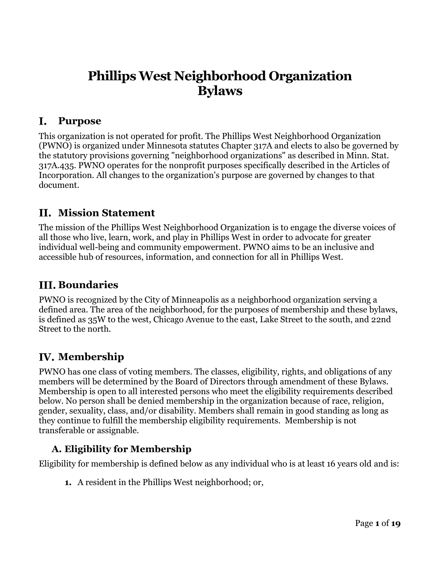# **Phillips West Neighborhood Organization Bylaws**

#### <span id="page-0-0"></span> $\mathbf{I}_{\bullet}$ **Purpose**

This organization is not operated for profit. The Phillips West Neighborhood Organization (PWNO) is organized under Minnesota statutes Chapter 317A and elects to also be governed by the statutory provisions governing "neighborhood organizations" as described in Minn. Stat. 317A.435. PWNO operates for the nonprofit purposes specifically described in the Articles of Incorporation. All changes to the organization's purpose are governed by changes to that document.

### <span id="page-0-1"></span>**Mission Statement**

The mission of the Phillips West Neighborhood Organization is to engage the diverse voices of all those who live, learn, work, and play in Phillips West in order to advocate for greater individual well-being and community empowerment. PWNO aims to be an inclusive and accessible hub of resources, information, and connection for all in Phillips West.

## <span id="page-0-2"></span>**III. Boundaries**

PWNO is recognized by the City of Minneapolis as a neighborhood organization serving a defined area. The area of the neighborhood, for the purposes of membership and these bylaws, is defined as 35W to the west, Chicago Avenue to the east, Lake Street to the south, and 22nd Street to the north.

## <span id="page-0-3"></span>**Membership**

PWNO has one class of voting members. The classes, eligibility, rights, and obligations of any members will be determined by the Board of Directors through amendment of these Bylaws. Membership is open to all interested persons who meet the eligibility requirements described below. No person shall be denied membership in the organization because of race, religion, gender, sexuality, class, and/or disability. Members shall remain in good standing as long as they continue to fulfill the membership eligibility requirements. Membership is not transferable or assignable.

### <span id="page-0-4"></span>**A. Eligibility for Membership**

Eligibility for membership is defined below as any individual who is at least 16 years old and is:

**1.** A resident in the Phillips West neighborhood; or,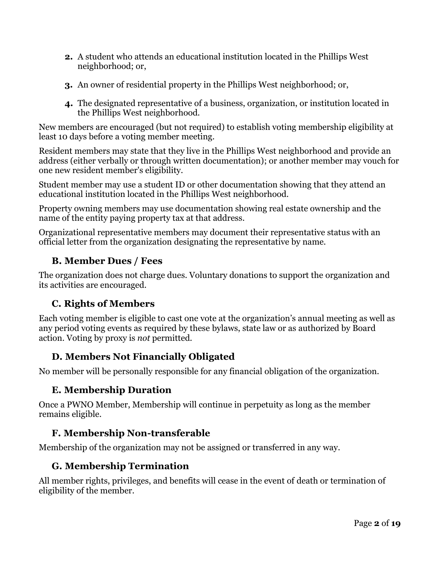- **2.** A student who attends an educational institution located in the Phillips West neighborhood; or,
- **3.** An owner of residential property in the Phillips West neighborhood; or,
- **4.** The designated representative of a business, organization, or institution located in the Phillips West neighborhood.

New members are encouraged (but not required) to establish voting membership eligibility at least 10 days before a voting member meeting.

Resident members may state that they live in the Phillips West neighborhood and provide an address (either verbally or through written documentation); or another member may vouch for one new resident member's eligibility.

Student member may use a student ID or other documentation showing that they attend an educational institution located in the Phillips West neighborhood.

Property owning members may use documentation showing real estate ownership and the name of the entity paying property tax at that address.

Organizational representative members may document their representative status with an official letter from the organization designating the representative by name.

### <span id="page-1-0"></span>**B. Member Dues / Fees**

The organization does not charge dues. Voluntary donations to support the organization and its activities are encouraged.

### <span id="page-1-1"></span>**C. Rights of Members**

Each voting member is eligible to cast one vote at the organization's annual meeting as well as any period voting events as required by these bylaws, state law or as authorized by Board action. Voting by proxy is *not* permitted.

### <span id="page-1-2"></span>**D. Members Not Financially Obligated**

<span id="page-1-3"></span>No member will be personally responsible for any financial obligation of the organization.

### **E. Membership Duration**

Once a PWNO Member, Membership will continue in perpetuity as long as the member remains eligible.

### <span id="page-1-4"></span>**F. Membership Non-transferable**

<span id="page-1-5"></span>Membership of the organization may not be assigned or transferred in any way.

### **G. Membership Termination**

All member rights, privileges, and benefits will cease in the event of death or termination of eligibility of the member.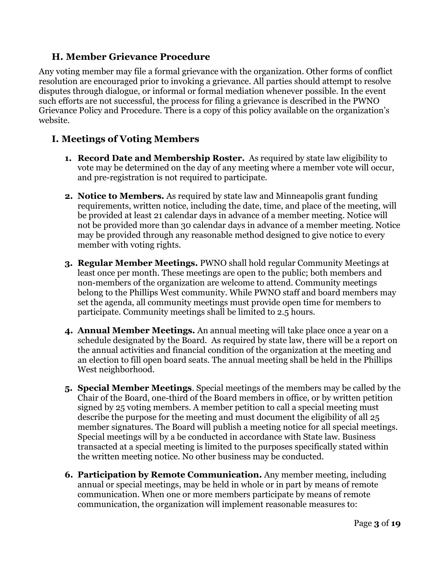#### <span id="page-2-0"></span>**H. Member Grievance Procedure**

Any voting member may file a formal grievance with the organization. Other forms of conflict resolution are encouraged prior to invoking a grievance. All parties should attempt to resolve disputes through dialogue, or informal or formal mediation whenever possible. In the event such efforts are not successful, the process for filing a grievance is described in the PWNO Grievance Policy and Procedure. There is a copy of this policy available on the organization's website.

### <span id="page-2-1"></span>**I. Meetings of Voting Members**

- **1. Record Date and Membership Roster.** As required by state law eligibility to vote may be determined on the day of any meeting where a member vote will occur, and pre-registration is not required to participate.
- **2. Notice to Members.** As required by state law and Minneapolis grant funding requirements, written notice, including the date, time, and place of the meeting, will be provided at least 21 calendar days in advance of a member meeting. Notice will not be provided more than 30 calendar days in advance of a member meeting. Notice may be provided through any reasonable method designed to give notice to every member with voting rights.
- **3. Regular Member Meetings.** PWNO shall hold regular Community Meetings at least once per month. These meetings are open to the public; both members and non-members of the organization are welcome to attend. Community meetings belong to the Phillips West community. While PWNO staff and board members may set the agenda, all community meetings must provide open time for members to participate. Community meetings shall be limited to 2.5 hours.
- **4. Annual Member Meetings.** An annual meeting will take place once a year on a schedule designated by the Board. As required by state law, there will be a report on the annual activities and financial condition of the organization at the meeting and an election to fill open board seats. The annual meeting shall be held in the Phillips West neighborhood.
- **5. Special Member Meetings**. Special meetings of the members may be called by the Chair of the Board, one-third of the Board members in office, or by written petition signed by 25 voting members. A member petition to call a special meeting must describe the purpose for the meeting and must document the eligibility of all 25 member signatures. The Board will publish a meeting notice for all special meetings. Special meetings will by a be conducted in accordance with State law. Business transacted at a special meeting is limited to the purposes specifically stated within the written meeting notice. No other business may be conducted.
- **6. Participation by Remote Communication.** Any member meeting, including annual or special meetings, may be held in whole or in part by means of remote communication. When one or more members participate by means of remote communication, the organization will implement reasonable measures to: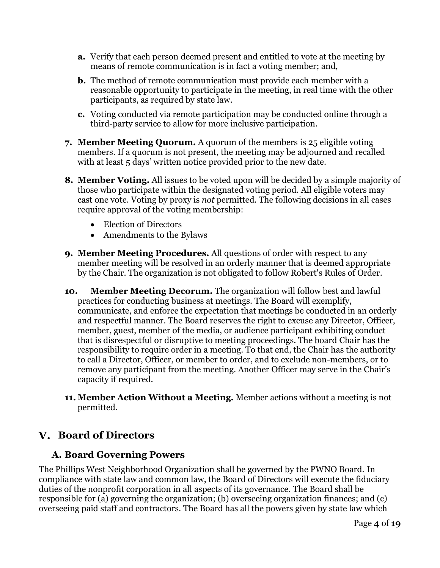- **a.** Verify that each person deemed present and entitled to vote at the meeting by means of remote communication is in fact a voting member; and,
- **b.** The method of remote communication must provide each member with a reasonable opportunity to participate in the meeting, in real time with the other participants, as required by state law.
- **c.** Voting conducted via remote participation may be conducted online through a third-party service to allow for more inclusive participation.
- **7. Member Meeting Quorum.** A quorum of the members is 25 eligible voting members. If a quorum is not present, the meeting may be adjourned and recalled with at least 5 days' written notice provided prior to the new date.
- **8. Member Voting.** All issues to be voted upon will be decided by a simple majority of those who participate within the designated voting period. All eligible voters may cast one vote. Voting by proxy is *not* permitted. The following decisions in all cases require approval of the voting membership:
	- Election of Directors
	- Amendments to the Bylaws
- **9. Member Meeting Procedures.** All questions of order with respect to any member meeting will be resolved in an orderly manner that is deemed appropriate by the Chair. The organization is not obligated to follow Robert's Rules of Order.
- **10. Member Meeting Decorum.** The organization will follow best and lawful practices for conducting business at meetings. The Board will exemplify, communicate, and enforce the expectation that meetings be conducted in an orderly and respectful manner. The Board reserves the right to excuse any Director, Officer, member, guest, member of the media, or audience participant exhibiting conduct that is disrespectful or disruptive to meeting proceedings. The board Chair has the responsibility to require order in a meeting. To that end, the Chair has the authority to call a Director, Officer, or member to order, and to exclude non-members, or to remove any participant from the meeting. Another Officer may serve in the Chair's capacity if required.
- **11. Member Action Without a Meeting.** Member actions without a meeting is not permitted.

### <span id="page-3-1"></span><span id="page-3-0"></span>**Board of Directors**

#### **A. Board Governing Powers**

The Phillips West Neighborhood Organization shall be governed by the PWNO Board. In compliance with state law and common law, the Board of Directors will execute the fiduciary duties of the nonprofit corporation in all aspects of its governance. The Board shall be responsible for (a) governing the organization; (b) overseeing organization finances; and (c) overseeing paid staff and contractors. The Board has all the powers given by state law which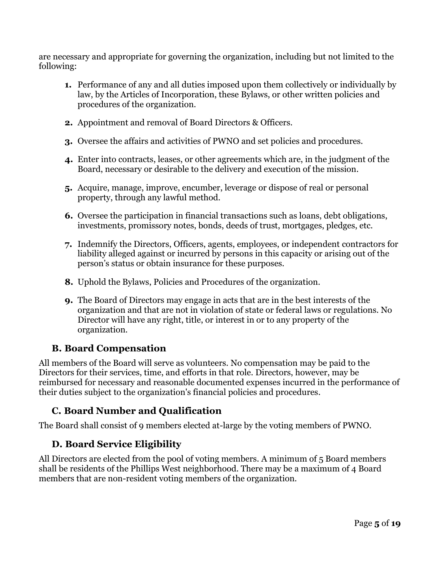are necessary and appropriate for governing the organization, including but not limited to the following:

- **1.** Performance of any and all duties imposed upon them collectively or individually by law, by the Articles of Incorporation, these Bylaws, or other written policies and procedures of the organization.
- **2.** Appointment and removal of Board Directors & Officers.
- **3.** Oversee the affairs and activities of PWNO and set policies and procedures.
- **4.** Enter into contracts, leases, or other agreements which are, in the judgment of the Board, necessary or desirable to the delivery and execution of the mission.
- **5.** Acquire, manage, improve, encumber, leverage or dispose of real or personal property, through any lawful method.
- **6.** Oversee the participation in financial transactions such as loans, debt obligations, investments, promissory notes, bonds, deeds of trust, mortgages, pledges, etc.
- **7.** Indemnify the Directors, Officers, agents, employees, or independent contractors for liability alleged against or incurred by persons in this capacity or arising out of the person's status or obtain insurance for these purposes.
- **8.** Uphold the Bylaws, Policies and Procedures of the organization.
- **9.** The Board of Directors may engage in acts that are in the best interests of the organization and that are not in violation of state or federal laws or regulations. No Director will have any right, title, or interest in or to any property of the organization.

#### <span id="page-4-0"></span>**B. Board Compensation**

All members of the Board will serve as volunteers. No compensation may be paid to the Directors for their services, time, and efforts in that role. Directors, however, may be reimbursed for necessary and reasonable documented expenses incurred in the performance of their duties subject to the organization's financial policies and procedures.

#### <span id="page-4-1"></span>**C. Board Number and Qualification**

<span id="page-4-2"></span>The Board shall consist of 9 members elected at-large by the voting members of PWNO.

#### **D. Board Service Eligibility**

All Directors are elected from the pool of voting members. A minimum of 5 Board members shall be residents of the Phillips West neighborhood. There may be a maximum of 4 Board members that are non-resident voting members of the organization.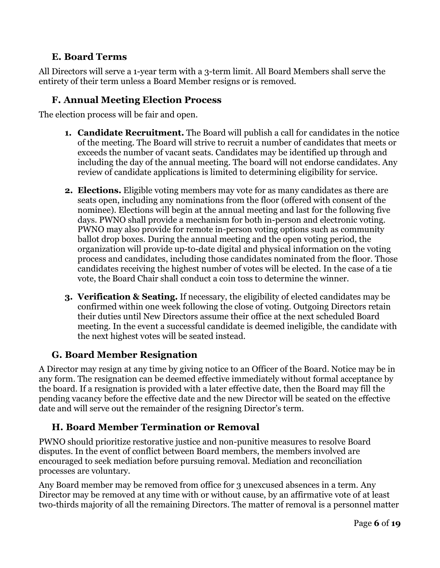### **E. Board Terms**

<span id="page-5-0"></span>All Directors will serve a 1-year term with a 3-term limit. All Board Members shall serve the entirety of their term unless a Board Member resigns or is removed.

### <span id="page-5-1"></span>**F. Annual Meeting Election Process**

The election process will be fair and open.

- **1. Candidate Recruitment.** The Board will publish a call for candidates in the notice of the meeting. The Board will strive to recruit a number of candidates that meets or exceeds the number of vacant seats. Candidates may be identified up through and including the day of the annual meeting. The board will not endorse candidates. Any review of candidate applications is limited to determining eligibility for service.
- **2. Elections.** Eligible voting members may vote for as many candidates as there are seats open, including any nominations from the floor (offered with consent of the nominee). Elections will begin at the annual meeting and last for the following five days. PWNO shall provide a mechanism for both in-person and electronic voting. PWNO may also provide for remote in-person voting options such as community ballot drop boxes. During the annual meeting and the open voting period, the organization will provide up-to-date digital and physical information on the voting process and candidates, including those candidates nominated from the floor. Those candidates receiving the highest number of votes will be elected. In the case of a tie vote, the Board Chair shall conduct a coin toss to determine the winner.
- **3. Verification & Seating.** If necessary, the eligibility of elected candidates may be confirmed within one week following the close of voting. Outgoing Directors retain their duties until New Directors assume their office at the next scheduled Board meeting. In the event a successful candidate is deemed ineligible, the candidate with the next highest votes will be seated instead.

### <span id="page-5-2"></span>**G. Board Member Resignation**

A Director may resign at any time by giving notice to an Officer of the Board. Notice may be in any form. The resignation can be deemed effective immediately without formal acceptance by the board. If a resignation is provided with a later effective date, then the Board may fill the pending vacancy before the effective date and the new Director will be seated on the effective date and will serve out the remainder of the resigning Director's term.

### <span id="page-5-3"></span>**H. Board Member Termination or Removal**

PWNO should prioritize restorative justice and non-punitive measures to resolve Board disputes. In the event of conflict between Board members, the members involved are encouraged to seek mediation before pursuing removal. Mediation and reconciliation processes are voluntary.

Any Board member may be removed from office for 3 unexcused absences in a term. Any Director may be removed at any time with or without cause, by an affirmative vote of at least two-thirds majority of all the remaining Directors. The matter of removal is a personnel matter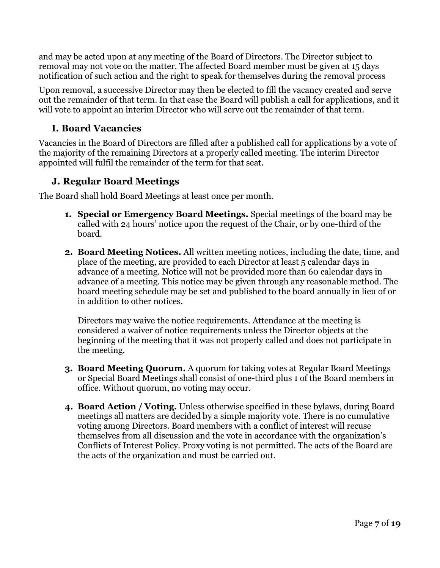and may be acted upon at any meeting of the Board of Directors. The Director subject to removal may not vote on the matter. The affected Board member must be given at 15 days notification of such action and the right to speak for themselves during the removal process

Upon removal, a successive Director may then be elected to fill the vacancy created and serve out the remainder of that term. In that case the Board will publish a call for applications, and it will vote to appoint an interim Director who will serve out the remainder of that term.

### <span id="page-6-0"></span>**I. Board Vacancies**

Vacancies in the Board of Directors are filled after a published call for applications by a vote of the majority of the remaining Directors at a properly called meeting. The interim Director appointed will fulfil the remainder of the term for that seat.

### <span id="page-6-1"></span>**J. Regular Board Meetings**

The Board shall hold Board Meetings at least once per month.

- **1. Special or Emergency Board Meetings.** Special meetings of the board may be called with 24 hours' notice upon the request of the Chair, or by one-third of the board.
- **2. Board Meeting Notices.** All written meeting notices, including the date, time, and place of the meeting, are provided to each Director at least 5 calendar days in advance of a meeting. Notice will not be provided more than 60 calendar days in advance of a meeting. This notice may be given through any reasonable method. The board meeting schedule may be set and published to the board annually in lieu of or in addition to other notices.

Directors may waive the notice requirements. Attendance at the meeting is considered a waiver of notice requirements unless the Director objects at the beginning of the meeting that it was not properly called and does not participate in the meeting.

- **3. Board Meeting Quorum.** A quorum for taking votes at Regular Board Meetings or Special Board Meetings shall consist of one-third plus 1 of the Board members in office. Without quorum, no voting may occur.
- **4. Board Action / Voting.** Unless otherwise specified in these bylaws, during Board meetings all matters are decided by a simple majority vote. There is no cumulative voting among Directors. Board members with a conflict of interest will recuse themselves from all discussion and the vote in accordance with the organization's Conflicts of Interest Policy. Proxy voting is not permitted. The acts of the Board are the acts of the organization and must be carried out.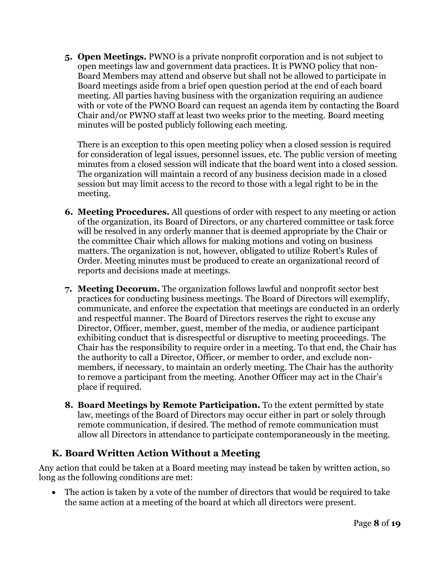**5. Open Meetings.** PWNO is a private nonprofit corporation and is not subject to open meetings law and government data practices. It is PWNO policy that non-Board Members may attend and observe but shall not be allowed to participate in Board meetings aside from a brief open question period at the end of each board meeting. All parties having business with the organization requiring an audience with or vote of the PWNO Board can request an agenda item by contacting the Board Chair and/or PWNO staff at least two weeks prior to the meeting. Board meeting minutes will be posted publicly following each meeting.

There is an exception to this open meeting policy when a closed session is required for consideration of legal issues, personnel issues, etc. The public version of meeting minutes from a closed session will indicate that the board went into a closed session. The organization will maintain a record of any business decision made in a closed session but may limit access to the record to those with a legal right to be in the meeting.

- **6. Meeting Procedures.** All questions of order with respect to any meeting or action of the organization, its Board of Directors, or any chartered committee or task force will be resolved in any orderly manner that is deemed appropriate by the Chair or the committee Chair which allows for making motions and voting on business matters. The organization is not, however, obligated to utilize Robert's Rules of Order. Meeting minutes must be produced to create an organizational record of reports and decisions made at meetings.
- **7. Meeting Decorum.** The organization follows lawful and nonprofit sector best practices for conducting business meetings. The Board of Directors will exemplify, communicate, and enforce the expectation that meetings are conducted in an orderly and respectful manner. The Board of Directors reserves the right to excuse any Director, Officer, member, guest, member of the media, or audience participant exhibiting conduct that is disrespectful or disruptive to meeting proceedings. The Chair has the responsibility to require order in a meeting. To that end, the Chair has the authority to call a Director, Officer, or member to order, and exclude nonmembers, if necessary, to maintain an orderly meeting. The Chair has the authority to remove a participant from the meeting. Another Officer may act in the Chair's place if required.
- **8. Board Meetings by Remote Participation.** To the extent permitted by state law, meetings of the Board of Directors may occur either in part or solely through remote communication, if desired. The method of remote communication must allow all Directors in attendance to participate contemporaneously in the meeting.

#### <span id="page-7-0"></span>**K. Board Written Action Without a Meeting**

Any action that could be taken at a Board meeting may instead be taken by written action, so long as the following conditions are met:

The action is taken by a vote of the number of directors that would be required to take the same action at a meeting of the board at which all directors were present.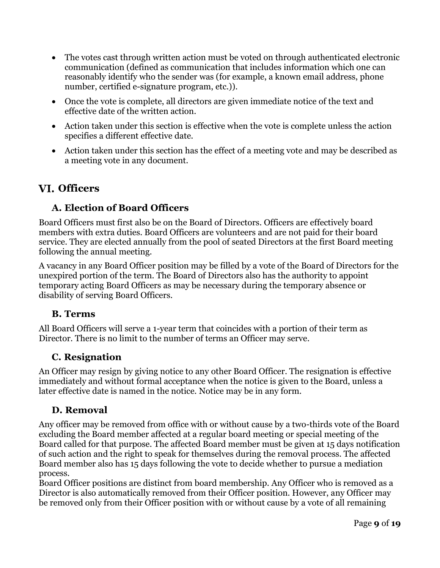- The votes cast through written action must be voted on through authenticated electronic communication (defined as communication that includes information which one can reasonably identify who the sender was (for example, a known email address, phone number, certified e-signature program, etc.)).
- Once the vote is complete, all directors are given immediate notice of the text and effective date of the written action.
- Action taken under this section is effective when the vote is complete unless the action specifies a different effective date.
- Action taken under this section has the effect of a meeting vote and may be described as a meeting vote in any document.

## <span id="page-8-1"></span><span id="page-8-0"></span>**Officers**

### **A. Election of Board Officers**

Board Officers must first also be on the Board of Directors. Officers are effectively board members with extra duties. Board Officers are volunteers and are not paid for their board service. They are elected annually from the pool of seated Directors at the first Board meeting following the annual meeting.

A vacancy in any Board Officer position may be filled by a vote of the Board of Directors for the unexpired portion of the term. The Board of Directors also has the authority to appoint temporary acting Board Officers as may be necessary during the temporary absence or disability of serving Board Officers.

#### <span id="page-8-2"></span>**B. Terms**

All Board Officers will serve a 1-year term that coincides with a portion of their term as Director. There is no limit to the number of terms an Officer may serve.

### <span id="page-8-3"></span>**C. Resignation**

An Officer may resign by giving notice to any other Board Officer. The resignation is effective immediately and without formal acceptance when the notice is given to the Board, unless a later effective date is named in the notice. Notice may be in any form.

### <span id="page-8-4"></span>**D. Removal**

Any officer may be removed from office with or without cause by a two-thirds vote of the Board excluding the Board member affected at a regular board meeting or special meeting of the Board called for that purpose. The affected Board member must be given at 15 days notification of such action and the right to speak for themselves during the removal process. The affected Board member also has 15 days following the vote to decide whether to pursue a mediation process.

Board Officer positions are distinct from board membership. Any Officer who is removed as a Director is also automatically removed from their Officer position. However, any Officer may be removed only from their Officer position with or without cause by a vote of all remaining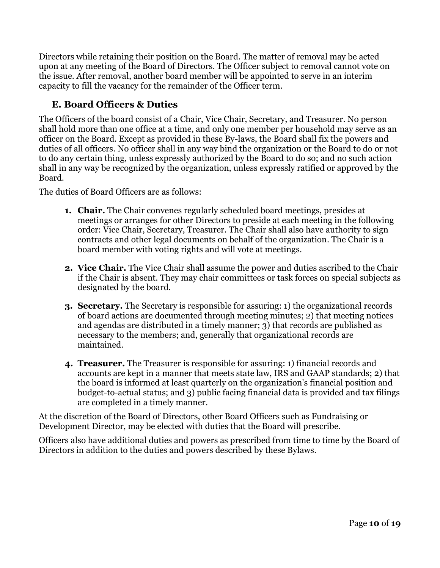Directors while retaining their position on the Board. The matter of removal may be acted upon at any meeting of the Board of Directors. The Officer subject to removal cannot vote on the issue. After removal, another board member will be appointed to serve in an interim capacity to fill the vacancy for the remainder of the Officer term.

### <span id="page-9-0"></span>**E. Board Officers & Duties**

The Officers of the board consist of a Chair, Vice Chair, Secretary, and Treasurer. No person shall hold more than one office at a time, and only one member per household may serve as an officer on the Board. Except as provided in these By-laws, the Board shall fix the powers and duties of all officers. No officer shall in any way bind the organization or the Board to do or not to do any certain thing, unless expressly authorized by the Board to do so; and no such action shall in any way be recognized by the organization, unless expressly ratified or approved by the Board.

The duties of Board Officers are as follows:

- **1. Chair.** The Chair convenes regularly scheduled board meetings, presides at meetings or arranges for other Directors to preside at each meeting in the following order: Vice Chair, Secretary, Treasurer. The Chair shall also have authority to sign contracts and other legal documents on behalf of the organization. The Chair is a board member with voting rights and will vote at meetings.
- **2. Vice Chair.** The Vice Chair shall assume the power and duties ascribed to the Chair if the Chair is absent. They may chair committees or task forces on special subjects as designated by the board.
- **3. Secretary.** The Secretary is responsible for assuring: 1) the organizational records of board actions are documented through meeting minutes; 2) that meeting notices and agendas are distributed in a timely manner; 3) that records are published as necessary to the members; and, generally that organizational records are maintained.
- **4. Treasurer.** The Treasurer is responsible for assuring: 1) financial records and accounts are kept in a manner that meets state law, IRS and GAAP standards; 2) that the board is informed at least quarterly on the organization's financial position and budget-to-actual status; and 3) public facing financial data is provided and tax filings are completed in a timely manner.

At the discretion of the Board of Directors, other Board Officers such as Fundraising or Development Director, may be elected with duties that the Board will prescribe.

Officers also have additional duties and powers as prescribed from time to time by the Board of Directors in addition to the duties and powers described by these Bylaws.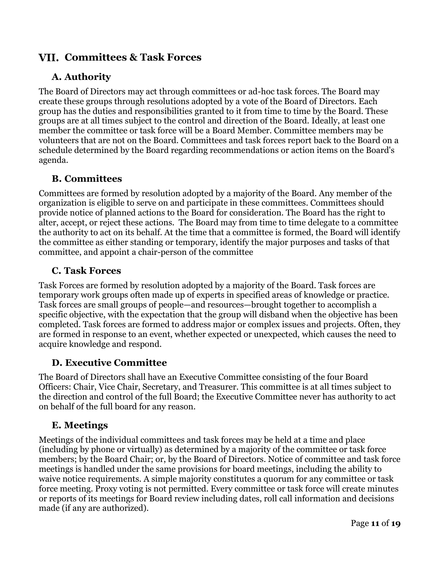### <span id="page-10-1"></span><span id="page-10-0"></span>**Committees & Task Forces**

### **A. Authority**

The Board of Directors may act through committees or ad-hoc task forces. The Board may create these groups through resolutions adopted by a vote of the Board of Directors. Each group has the duties and responsibilities granted to it from time to time by the Board. These groups are at all times subject to the control and direction of the Board. Ideally, at least one member the committee or task force will be a Board Member. Committee members may be volunteers that are not on the Board. Committees and task forces report back to the Board on a schedule determined by the Board regarding recommendations or action items on the Board's agenda.

#### <span id="page-10-2"></span>**B. Committees**

Committees are formed by resolution adopted by a majority of the Board. Any member of the organization is eligible to serve on and participate in these committees. Committees should provide notice of planned actions to the Board for consideration. The Board has the right to alter, accept, or reject these actions. The Board may from time to time delegate to a committee the authority to act on its behalf. At the time that a committee is formed, the Board will identify the committee as either standing or temporary, identify the major purposes and tasks of that committee, and appoint a chair-person of the committee

#### <span id="page-10-3"></span>**C. Task Forces**

Task Forces are formed by resolution adopted by a majority of the Board. Task forces are temporary work groups often made up of experts in specified areas of knowledge or practice. Task forces are small groups of people—and resources—brought together to accomplish a specific objective, with the expectation that the group will disband when the objective has been completed. Task forces are formed to address major or complex issues and projects. Often, they are formed in response to an event, whether expected or unexpected, which causes the need to acquire knowledge and respond.

#### <span id="page-10-4"></span>**D. Executive Committee**

The Board of Directors shall have an Executive Committee consisting of the four Board Officers: Chair, Vice Chair, Secretary, and Treasurer. This committee is at all times subject to the direction and control of the full Board; the Executive Committee never has authority to act on behalf of the full board for any reason.

#### <span id="page-10-5"></span>**E. Meetings**

Meetings of the individual committees and task forces may be held at a time and place (including by phone or virtually) as determined by a majority of the committee or task force members; by the Board Chair; or, by the Board of Directors. Notice of committee and task force meetings is handled under the same provisions for board meetings, including the ability to waive notice requirements. A simple majority constitutes a quorum for any committee or task force meeting. Proxy voting is not permitted. Every committee or task force will create minutes or reports of its meetings for Board review including dates, roll call information and decisions made (if any are authorized).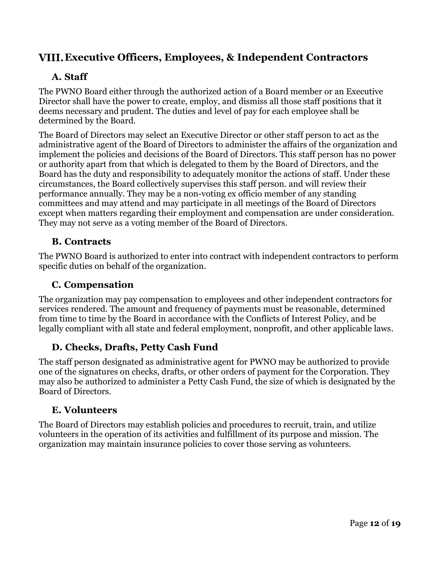### <span id="page-11-1"></span><span id="page-11-0"></span>**Executive Officers, Employees, & Independent Contractors**

### **A. Staff**

The PWNO Board either through the authorized action of a Board member or an Executive Director shall have the power to create, employ, and dismiss all those staff positions that it deems necessary and prudent. The duties and level of pay for each employee shall be determined by the Board.

The Board of Directors may select an Executive Director or other staff person to act as the administrative agent of the Board of Directors to administer the affairs of the organization and implement the policies and decisions of the Board of Directors. This staff person has no power or authority apart from that which is delegated to them by the Board of Directors, and the Board has the duty and responsibility to adequately monitor the actions of staff. Under these circumstances, the Board collectively supervises this staff person. and will review their performance annually. They may be a non-voting ex officio member of any standing committees and may attend and may participate in all meetings of the Board of Directors except when matters regarding their employment and compensation are under consideration. They may not serve as a voting member of the Board of Directors.

### <span id="page-11-2"></span>**B. Contracts**

The PWNO Board is authorized to enter into contract with independent contractors to perform specific duties on behalf of the organization.

### <span id="page-11-3"></span>**C. Compensation**

The organization may pay compensation to employees and other independent contractors for services rendered. The amount and frequency of payments must be reasonable, determined from time to time by the Board in accordance with the Conflicts of Interest Policy, and be legally compliant with all state and federal employment, nonprofit, and other applicable laws.

### <span id="page-11-4"></span>**D. Checks, Drafts, Petty Cash Fund**

The staff person designated as administrative agent for PWNO may be authorized to provide one of the signatures on checks, drafts, or other orders of payment for the Corporation. They may also be authorized to administer a Petty Cash Fund, the size of which is designated by the Board of Directors.

#### <span id="page-11-5"></span>**E. Volunteers**

The Board of Directors may establish policies and procedures to recruit, train, and utilize volunteers in the operation of its activities and fulfillment of its purpose and mission. The organization may maintain insurance policies to cover those serving as volunteers.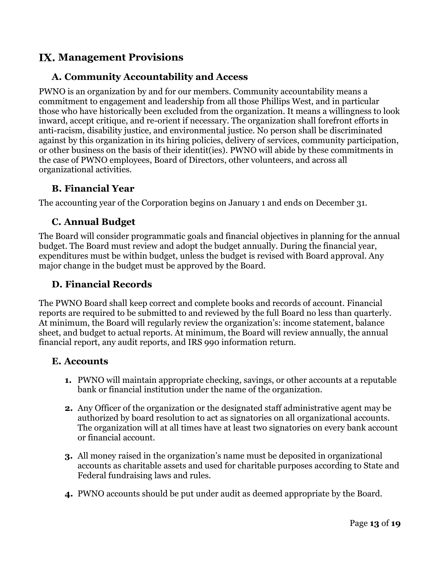### <span id="page-12-1"></span><span id="page-12-0"></span>**Management Provisions**

#### **A. Community Accountability and Access**

PWNO is an organization by and for our members. Community accountability means a commitment to engagement and leadership from all those Phillips West, and in particular those who have historically been excluded from the organization. It means a willingness to look inward, accept critique, and re-orient if necessary. The organization shall forefront efforts in anti-racism, disability justice, and environmental justice. No person shall be discriminated against by this organization in its hiring policies, delivery of services, community participation, or other business on the basis of their identit(ies). PWNO will abide by these commitments in the case of PWNO employees, Board of Directors, other volunteers, and across all organizational activities.

#### <span id="page-12-2"></span>**B. Financial Year**

<span id="page-12-3"></span>The accounting year of the Corporation begins on January 1 and ends on December 31.

#### **C. Annual Budget**

The Board will consider programmatic goals and financial objectives in planning for the annual budget. The Board must review and adopt the budget annually. During the financial year, expenditures must be within budget, unless the budget is revised with Board approval. Any major change in the budget must be approved by the Board.

#### <span id="page-12-4"></span>**D. Financial Records**

The PWNO Board shall keep correct and complete books and records of account. Financial reports are required to be submitted to and reviewed by the full Board no less than quarterly. At minimum, the Board will regularly review the organization's: income statement, balance sheet, and budget to actual reports. At minimum, the Board will review annually, the annual financial report, any audit reports, and IRS 990 information return.

#### <span id="page-12-5"></span>**E. Accounts**

- **1.** PWNO will maintain appropriate checking, savings, or other accounts at a reputable bank or financial institution under the name of the organization.
- **2.** Any Officer of the organization or the designated staff administrative agent may be authorized by board resolution to act as signatories on all organizational accounts. The organization will at all times have at least two signatories on every bank account or financial account.
- **3.** All money raised in the organization's name must be deposited in organizational accounts as charitable assets and used for charitable purposes according to State and Federal fundraising laws and rules.
- **4.** PWNO accounts should be put under audit as deemed appropriate by the Board.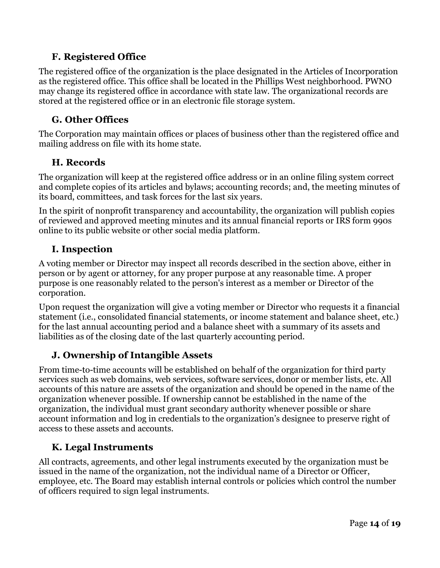### <span id="page-13-0"></span>**F. Registered Office**

The registered office of the organization is the place designated in the Articles of Incorporation as the registered office. This office shall be located in the Phillips West neighborhood. PWNO may change its registered office in accordance with state law. The organizational records are stored at the registered office or in an electronic file storage system.

### <span id="page-13-1"></span>**G. Other Offices**

The Corporation may maintain offices or places of business other than the registered office and mailing address on file with its home state.

### <span id="page-13-2"></span>**H. Records**

The organization will keep at the registered office address or in an online filing system correct and complete copies of its articles and bylaws; accounting records; and, the meeting minutes of its board, committees, and task forces for the last six years.

In the spirit of nonprofit transparency and accountability, the organization will publish copies of reviewed and approved meeting minutes and its annual financial reports or IRS form 990s online to its public website or other social media platform.

### <span id="page-13-3"></span>**I. Inspection**

A voting member or Director may inspect all records described in the section above, either in person or by agent or attorney, for any proper purpose at any reasonable time. A proper purpose is one reasonably related to the person's interest as a member or Director of the corporation.

Upon request the organization will give a voting member or Director who requests it a financial statement (i.e., consolidated financial statements, or income statement and balance sheet, etc.) for the last annual accounting period and a balance sheet with a summary of its assets and liabilities as of the closing date of the last quarterly accounting period.

### <span id="page-13-4"></span>**J. Ownership of Intangible Assets**

From time-to-time accounts will be established on behalf of the organization for third party services such as web domains, web services, software services, donor or member lists, etc. All accounts of this nature are assets of the organization and should be opened in the name of the organization whenever possible. If ownership cannot be established in the name of the organization, the individual must grant secondary authority whenever possible or share account information and log in credentials to the organization's designee to preserve right of access to these assets and accounts.

### <span id="page-13-5"></span>**K. Legal Instruments**

All contracts, agreements, and other legal instruments executed by the organization must be issued in the name of the organization, not the individual name of a Director or Officer, employee, etc. The Board may establish internal controls or policies which control the number of officers required to sign legal instruments.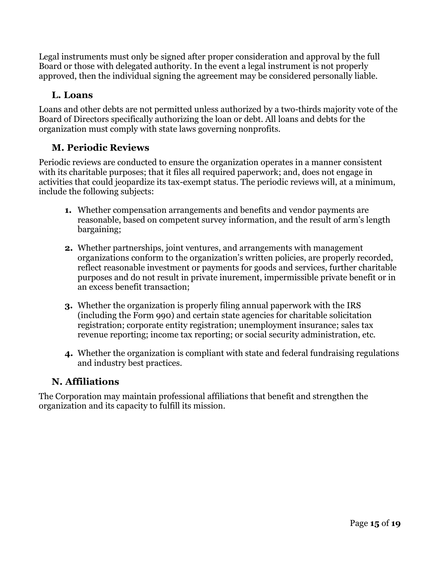Legal instruments must only be signed after proper consideration and approval by the full Board or those with delegated authority. In the event a legal instrument is not properly approved, then the individual signing the agreement may be considered personally liable.

### <span id="page-14-0"></span>**L. Loans**

Loans and other debts are not permitted unless authorized by a two-thirds majority vote of the Board of Directors specifically authorizing the loan or debt. All loans and debts for the organization must comply with state laws governing nonprofits.

### <span id="page-14-1"></span>**M. Periodic Reviews**

Periodic reviews are conducted to ensure the organization operates in a manner consistent with its charitable purposes; that it files all required paperwork; and, does not engage in activities that could jeopardize its tax-exempt status. The periodic reviews will, at a minimum, include the following subjects:

- **1.** Whether compensation arrangements and benefits and vendor payments are reasonable, based on competent survey information, and the result of arm's length bargaining;
- **2.** Whether partnerships, joint ventures, and arrangements with management organizations conform to the organization's written policies, are properly recorded, reflect reasonable investment or payments for goods and services, further charitable purposes and do not result in private inurement, impermissible private benefit or in an excess benefit transaction;
- **3.** Whether the organization is properly filing annual paperwork with the IRS (including the Form 990) and certain state agencies for charitable solicitation registration; corporate entity registration; unemployment insurance; sales tax revenue reporting; income tax reporting; or social security administration, etc.
- **4.** Whether the organization is compliant with state and federal fundraising regulations and industry best practices.

### <span id="page-14-2"></span>**N. Affiliations**

The Corporation may maintain professional affiliations that benefit and strengthen the organization and its capacity to fulfill its mission.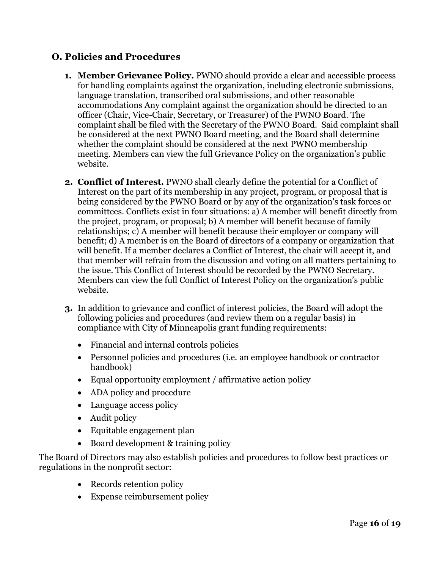#### <span id="page-15-0"></span>**O. Policies and Procedures**

- **1. Member Grievance Policy.** PWNO should provide a clear and accessible process for handling complaints against the organization, including electronic submissions, language translation, transcribed oral submissions, and other reasonable accommodations Any complaint against the organization should be directed to an officer (Chair, Vice-Chair, Secretary, or Treasurer) of the PWNO Board. The complaint shall be filed with the Secretary of the PWNO Board. Said complaint shall be considered at the next PWNO Board meeting, and the Board shall determine whether the complaint should be considered at the next PWNO membership meeting. Members can view the full Grievance Policy on the organization's public website.
- **2. Conflict of Interest.** PWNO shall clearly define the potential for a Conflict of Interest on the part of its membership in any project, program, or proposal that is being considered by the PWNO Board or by any of the organization's task forces or committees. Conflicts exist in four situations: a) A member will benefit directly from the project, program, or proposal; b) A member will benefit because of family relationships; c) A member will benefit because their employer or company will benefit; d) A member is on the Board of directors of a company or organization that will benefit. If a member declares a Conflict of Interest, the chair will accept it, and that member will refrain from the discussion and voting on all matters pertaining to the issue. This Conflict of Interest should be recorded by the PWNO Secretary. Members can view the full Conflict of Interest Policy on the organization's public website.
- **3.** In addition to grievance and conflict of interest policies, the Board will adopt the following policies and procedures (and review them on a regular basis) in compliance with City of Minneapolis grant funding requirements:
	- Financial and internal controls policies
	- Personnel policies and procedures (i.e. an employee handbook or contractor handbook)
	- Equal opportunity employment / affirmative action policy
	- ADA policy and procedure
	- Language access policy
	- Audit policy
	- Equitable engagement plan
	- Board development & training policy

The Board of Directors may also establish policies and procedures to follow best practices or regulations in the nonprofit sector:

- Records retention policy
- Expense reimbursement policy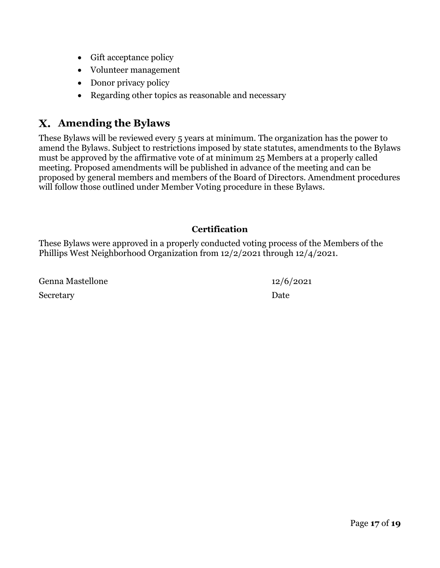- Gift acceptance policy
- Volunteer management
- Donor privacy policy
- Regarding other topics as reasonable and necessary

### <span id="page-16-0"></span>**Amending the Bylaws**

These Bylaws will be reviewed every 5 years at minimum. The organization has the power to amend the Bylaws. Subject to restrictions imposed by state statutes, amendments to the Bylaws must be approved by the affirmative vote of at minimum 25 Members at a properly called meeting. Proposed amendments will be published in advance of the meeting and can be proposed by general members and members of the Board of Directors. Amendment procedures will follow those outlined under Member Voting procedure in these Bylaws.

#### **Certification**

These Bylaws were approved in a properly conducted voting process of the Members of the Phillips West Neighborhood Organization from 12/2/2021 through 12/4/2021.

Genna Mastellone 12/6/2021 Secretary Date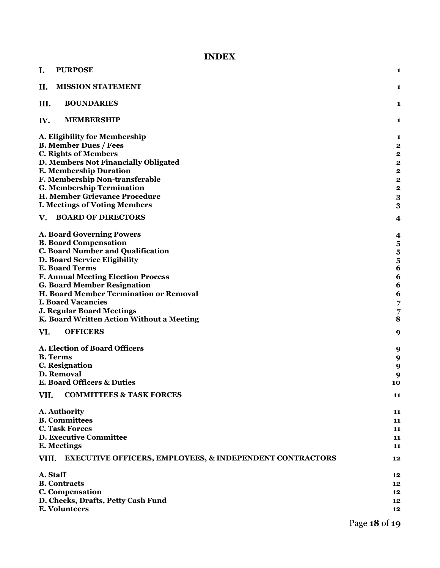#### **INDEX**

| I.<br><b>PURPOSE</b>                                                         | 1                       |
|------------------------------------------------------------------------------|-------------------------|
| II.<br><b>MISSION STATEMENT</b>                                              | 1                       |
| III.<br><b>BOUNDARIES</b>                                                    | 1                       |
| IV.<br><b>MEMBERSHIP</b>                                                     | $\mathbf{1}$            |
| A. Eligibility for Membership                                                | 1                       |
| <b>B. Member Dues / Fees</b>                                                 | $\overline{\mathbf{2}}$ |
| <b>C. Rights of Members</b>                                                  | $\overline{\mathbf{2}}$ |
| D. Members Not Financially Obligated                                         | $\boldsymbol{2}$        |
| <b>E. Membership Duration</b>                                                | $\overline{\mathbf{2}}$ |
| F. Membership Non-transferable                                               | $\boldsymbol{2}$        |
| <b>G. Membership Termination</b>                                             | $\overline{\mathbf{2}}$ |
| H. Member Grievance Procedure                                                | 3                       |
| <b>I. Meetings of Voting Members</b>                                         | 3                       |
| <b>BOARD OF DIRECTORS</b><br>$\mathbf{V}$ .                                  | $\overline{\mathbf{4}}$ |
| <b>A. Board Governing Powers</b>                                             | 4                       |
| <b>B. Board Compensation</b>                                                 | 5                       |
| <b>C. Board Number and Qualification</b>                                     | 5                       |
| <b>D. Board Service Eligibility</b>                                          | $\overline{\mathbf{5}}$ |
| <b>E. Board Terms</b>                                                        | 6                       |
| <b>F. Annual Meeting Election Process</b>                                    | 6                       |
| <b>G. Board Member Resignation</b>                                           | 6                       |
| H. Board Member Termination or Removal                                       | 6                       |
| <b>I. Board Vacancies</b>                                                    | 7                       |
| <b>J. Regular Board Meetings</b>                                             | 7                       |
| K. Board Written Action Without a Meeting                                    | 8                       |
| VI.<br><b>OFFICERS</b>                                                       | 9                       |
| A. Election of Board Officers                                                | 9                       |
| <b>B.</b> Terms                                                              | 9                       |
| <b>C.</b> Resignation                                                        | 9                       |
| D. Removal                                                                   | 9                       |
| <b>E. Board Officers &amp; Duties</b>                                        | 10                      |
| VII.<br><b>COMMITTEES &amp; TASK FORCES</b>                                  | 11                      |
| A. Authority                                                                 | 11                      |
| <b>B.</b> Committees                                                         | 11                      |
| <b>C. Task Forces</b>                                                        | 11                      |
| <b>D. Executive Committee</b>                                                | 11                      |
| E. Meetings                                                                  | 11                      |
| VIII.<br><b>EXECUTIVE OFFICERS, EMPLOYEES, &amp; INDEPENDENT CONTRACTORS</b> | 12                      |
| A. Staff                                                                     | 12                      |
| <b>B.</b> Contracts                                                          | 12                      |
| C. Compensation                                                              | 12                      |
| D. Checks, Drafts, Petty Cash Fund                                           | 12                      |
| <b>E. Volunteers</b>                                                         | 12                      |
|                                                                              |                         |

Page **18** of **19**